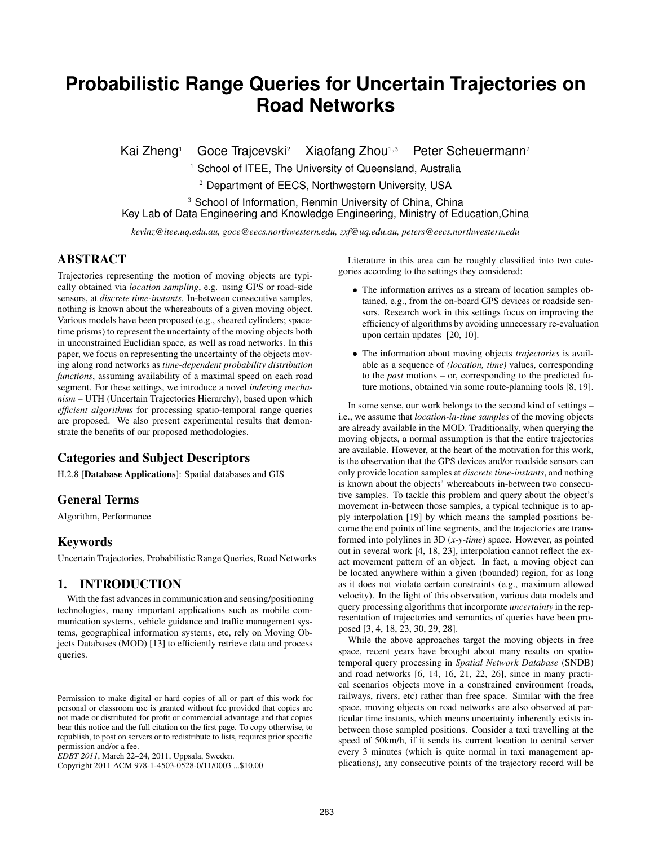# **Probabilistic Range Queries for Uncertain Trajectories on Road Networks**

Kai Zheng<sup>1</sup> Goce Trajcevski<sup>2</sup> Xiaofang Zhou<sup>1,3</sup> Peter Scheuermann<sup>2</sup>

<sup>1</sup> School of ITEE, The University of Queensland, Australia

<sup>2</sup> Department of EECS, Northwestern University, USA

<sup>3</sup> School of Information, Renmin University of China, China Key Lab of Data Engineering and Knowledge Engineering, Ministry of Education,China

*kevinz@itee.uq.edu.au, goce@eecs.northwestern.edu, zxf@uq.edu.au, peters@eecs.northwestern.edu*

# ABSTRACT

Trajectories representing the motion of moving objects are typically obtained via *location sampling*, e.g. using GPS or road-side sensors, at *discrete time-instants*. In-between consecutive samples, nothing is known about the whereabouts of a given moving object. Various models have been proposed (e.g., sheared cylinders; spacetime prisms) to represent the uncertainty of the moving objects both in unconstrained Euclidian space, as well as road networks. In this paper, we focus on representing the uncertainty of the objects moving along road networks as *time-dependent probability distribution functions*, assuming availability of a maximal speed on each road segment. For these settings, we introduce a novel *indexing mechanism* – UTH (Uncertain Trajectories Hierarchy), based upon which *efficient algorithms* for processing spatio-temporal range queries are proposed. We also present experimental results that demonstrate the benefits of our proposed methodologies.

# Categories and Subject Descriptors

H.2.8 [Database Applications]: Spatial databases and GIS

# General Terms

Algorithm, Performance

# Keywords

Uncertain Trajectories, Probabilistic Range Queries, Road Networks

# 1. INTRODUCTION

With the fast advances in communication and sensing/positioning technologies, many important applications such as mobile communication systems, vehicle guidance and traffic management systems, geographical information systems, etc, rely on Moving Objects Databases (MOD) [13] to efficiently retrieve data and process queries.

Copyright 2011 ACM 978-1-4503-0528-0/11/0003 ...\$10.00

Literature in this area can be roughly classified into two categories according to the settings they considered:

- The information arrives as a stream of location samples obtained, e.g., from the on-board GPS devices or roadside sensors. Research work in this settings focus on improving the efficiency of algorithms by avoiding unnecessary re-evaluation upon certain updates [20, 10].
- The information about moving objects *trajectories* is available as a sequence of *(location, time)* values, corresponding to the *past* motions – or, corresponding to the predicted future motions, obtained via some route-planning tools [8, 19].

In some sense, our work belongs to the second kind of settings – i.e., we assume that *location-in-time samples* of the moving objects are already available in the MOD. Traditionally, when querying the moving objects, a normal assumption is that the entire trajectories are available. However, at the heart of the motivation for this work, is the observation that the GPS devices and/or roadside sensors can only provide location samples at *discrete time-instants*, and nothing is known about the objects' whereabouts in-between two consecutive samples. To tackle this problem and query about the object's movement in-between those samples, a typical technique is to apply interpolation [19] by which means the sampled positions become the end points of line segments, and the trajectories are transformed into polylines in 3D (*x-y-time*) space. However, as pointed out in several work [4, 18, 23], interpolation cannot reflect the exact movement pattern of an object. In fact, a moving object can be located anywhere within a given (bounded) region, for as long as it does not violate certain constraints (e.g., maximum allowed velocity). In the light of this observation, various data models and query processing algorithms that incorporate *uncertainty* in the representation of trajectories and semantics of queries have been proposed [3, 4, 18, 23, 30, 29, 28].

While the above approaches target the moving objects in free space, recent years have brought about many results on spatiotemporal query processing in *Spatial Network Database* (SNDB) and road networks [6, 14, 16, 21, 22, 26], since in many practical scenarios objects move in a constrained environment (roads, railways, rivers, etc) rather than free space. Similar with the free space, moving objects on road networks are also observed at particular time instants, which means uncertainty inherently exists inbetween those sampled positions. Consider a taxi travelling at the speed of 50km/h, if it sends its current location to central server every 3 minutes (which is quite normal in taxi management applications), any consecutive points of the trajectory record will be

Permission to make digital or hard copies of all or part of this work for personal or classroom use is granted without fee provided that copies are not made or distributed for profit or commercial advantage and that copies bear this notice and the full citation on the first page. To copy otherwise, to republish, to post on servers or to redistribute to lists, requires prior specific permission and/or a fee.

*EDBT 2011*, March 22–24, 2011, Uppsala, Sweden.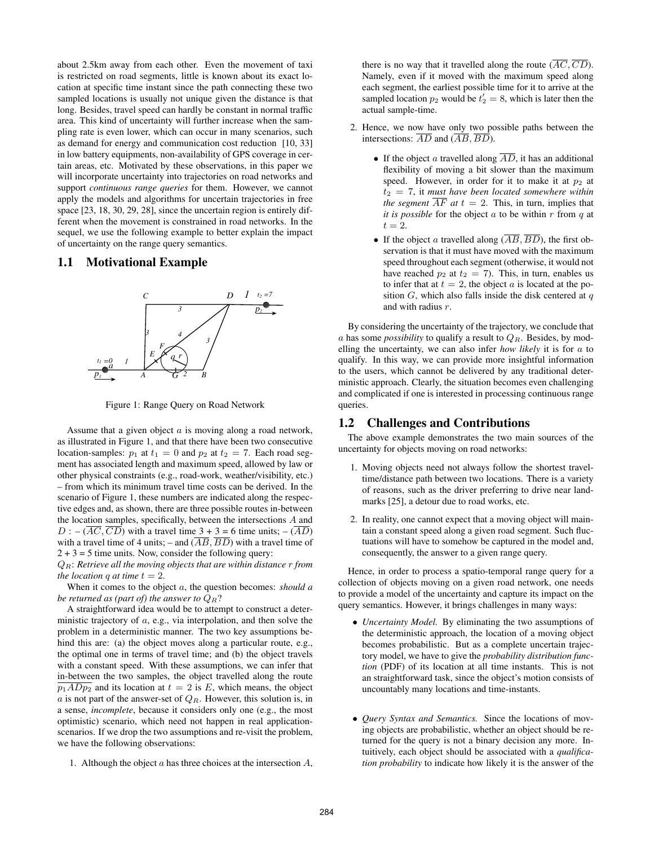about 2.5km away from each other. Even the movement of taxi is restricted on road segments, little is known about its exact location at specific time instant since the path connecting these two sampled locations is usually not unique given the distance is that long. Besides, travel speed can hardly be constant in normal traffic area. This kind of uncertainty will further increase when the sampling rate is even lower, which can occur in many scenarios, such as demand for energy and communication cost reduction [10, 33] in low battery equipments, non-availability of GPS coverage in certain areas, etc. Motivated by these observations, in this paper we will incorporate uncertainty into trajectories on road networks and support *continuous range queries* for them. However, we cannot apply the models and algorithms for uncertain trajectories in free space [23, 18, 30, 29, 28], since the uncertain region is entirely different when the movement is constrained in road networks. In the sequel, we use the following example to better explain the impact of uncertainty on the range query semantics.

#### 1.1 Motivational Example



Figure 1: Range Query on Road Network

Assume that a given object  $a$  is moving along a road network, as illustrated in Figure 1, and that there have been two consecutive location-samples:  $p_1$  at  $t_1 = 0$  and  $p_2$  at  $t_2 = 7$ . Each road segment has associated length and maximum speed, allowed by law or other physical constraints (e.g., road-work, weather/visibility, etc.) – from which its minimum travel time costs can be derived. In the scenario of Figure 1, these numbers are indicated along the respective edges and, as shown, there are three possible routes in-between the location samples, specifically, between the intersections A and  $D: -(\overline{AC}, \overline{CD})$  with a travel time  $3 + 3 = 6$  time units;  $- (\overline{AD})$ with a travel time of 4 units; – and  $(\overline{AB}, \overline{BD})$  with a travel time of  $2 + 3 = 5$  time units. Now, consider the following query:

QR: *Retrieve all the moving objects that are within distance* r *from the location*  $q$  *at time*  $t = 2$ *.* 

When it comes to the object a, the question becomes: *should a be returned as (part of) the answer to*  $Q_R$ ?

A straightforward idea would be to attempt to construct a deterministic trajectory of a, e.g., via interpolation, and then solve the problem in a deterministic manner. The two key assumptions behind this are: (a) the object moves along a particular route, e.g., the optimal one in terms of travel time; and (b) the object travels with a constant speed. With these assumptions, we can infer that in-between the two samples, the object travelled along the route  $\overline{p_1ADp_2}$  and its location at  $t = 2$  is E, which means, the object  $\alpha$  is not part of the answer-set of  $Q_R$ . However, this solution is, in a sense, *incomplete*, because it considers only one (e.g., the most optimistic) scenario, which need not happen in real applicationscenarios. If we drop the two assumptions and re-visit the problem, we have the following observations:

1. Although the object  $a$  has three choices at the intersection  $A$ ,

there is no way that it travelled along the route  $(\overline{AC}, \overline{CD})$ . Namely, even if it moved with the maximum speed along each segment, the earliest possible time for it to arrive at the sampled location  $p_2$  would be  $t'_2 = 8$ , which is later then the actual sample-time.

- 2. Hence, we now have only two possible paths between the intersections:  $\overline{AD}$  and  $(\overline{AB}, \overline{BD})$ .
	- If the object a travelled along  $\overline{AD}$ , it has an additional flexibility of moving a bit slower than the maximum speed. However, in order for it to make it at  $p_2$  at  $t_2 = 7$ , it must have been located somewhere within *the segment*  $AF$  *at*  $t = 2$ . This, in turn, implies that *it is possible* for the object  $a$  to be within  $r$  from  $q$  at  $t=2$ .
	- If the object a travelled along  $(\overline{AB}, \overline{BD})$ , the first observation is that it must have moved with the maximum speed throughout each segment (otherwise, it would not have reached  $p_2$  at  $t_2 = 7$ ). This, in turn, enables us to infer that at  $t = 2$ , the object a is located at the position  $G$ , which also falls inside the disk centered at  $q$ and with radius r.

By considering the uncertainty of the trajectory, we conclude that a has some *possibility* to qualify a result to  $Q_R$ . Besides, by modelling the uncertainty, we can also infer *how likely* it is for a to qualify. In this way, we can provide more insightful information to the users, which cannot be delivered by any traditional deterministic approach. Clearly, the situation becomes even challenging and complicated if one is interested in processing continuous range queries.

#### 1.2 Challenges and Contributions

The above example demonstrates the two main sources of the uncertainty for objects moving on road networks:

- 1. Moving objects need not always follow the shortest traveltime/distance path between two locations. There is a variety of reasons, such as the driver preferring to drive near landmarks [25], a detour due to road works, etc.
- 2. In reality, one cannot expect that a moving object will maintain a constant speed along a given road segment. Such fluctuations will have to somehow be captured in the model and, consequently, the answer to a given range query.

Hence, in order to process a spatio-temporal range query for a collection of objects moving on a given road network, one needs to provide a model of the uncertainty and capture its impact on the query semantics. However, it brings challenges in many ways:

- *Uncertainty Model.* By eliminating the two assumptions of the deterministic approach, the location of a moving object becomes probabilistic. But as a complete uncertain trajectory model, we have to give the *probability distribution function* (PDF) of its location at all time instants. This is not an straightforward task, since the object's motion consists of uncountably many locations and time-instants.
- *Query Syntax and Semantics.* Since the locations of moving objects are probabilistic, whether an object should be returned for the query is not a binary decision any more. Intuitively, each object should be associated with a *qualification probability* to indicate how likely it is the answer of the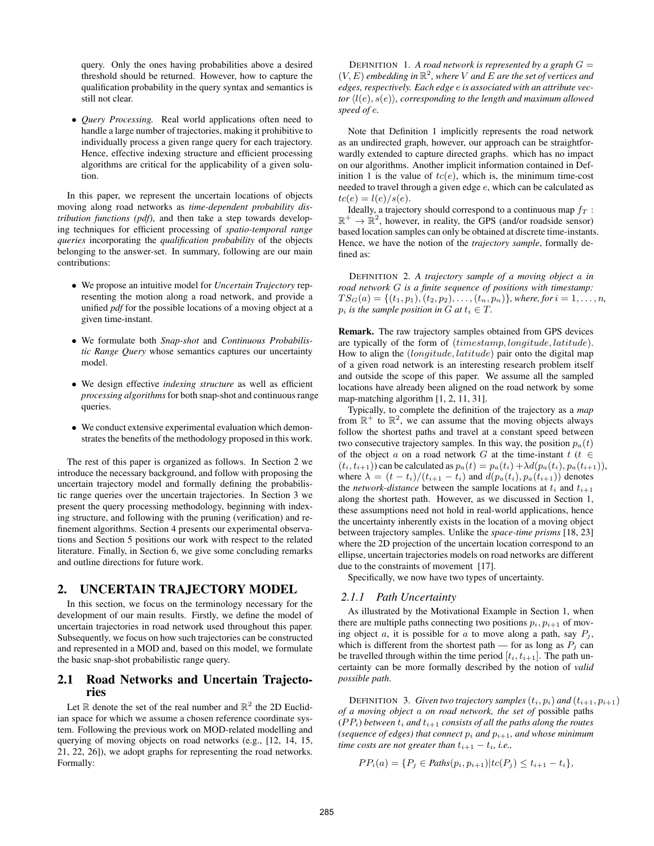query. Only the ones having probabilities above a desired threshold should be returned. However, how to capture the qualification probability in the query syntax and semantics is still not clear.

• *Query Processing.* Real world applications often need to handle a large number of trajectories, making it prohibitive to individually process a given range query for each trajectory. Hence, effective indexing structure and efficient processing algorithms are critical for the applicability of a given solution.

In this paper, we represent the uncertain locations of objects moving along road networks as *time-dependent probability distribution functions (pdf)*, and then take a step towards developing techniques for efficient processing of *spatio-temporal range queries* incorporating the *qualification probability* of the objects belonging to the answer-set. In summary, following are our main contributions:

- We propose an intuitive model for *Uncertain Trajectory* representing the motion along a road network, and provide a unified *pdf* for the possible locations of a moving object at a given time-instant.
- We formulate both *Snap-shot* and *Continuous Probabilistic Range Query* whose semantics captures our uncertainty model.
- We design effective *indexing structure* as well as efficient *processing algorithms*for both snap-shot and continuous range queries.
- We conduct extensive experimental evaluation which demonstrates the benefits of the methodology proposed in this work.

The rest of this paper is organized as follows. In Section 2 we introduce the necessary background, and follow with proposing the uncertain trajectory model and formally defining the probabilistic range queries over the uncertain trajectories. In Section 3 we present the query processing methodology, beginning with indexing structure, and following with the pruning (verification) and refinement algorithms. Section 4 presents our experimental observations and Section 5 positions our work with respect to the related literature. Finally, in Section 6, we give some concluding remarks and outline directions for future work.

# 2. UNCERTAIN TRAJECTORY MODEL

In this section, we focus on the terminology necessary for the development of our main results. Firstly, we define the model of uncertain trajectories in road network used throughout this paper. Subsequently, we focus on how such trajectories can be constructed and represented in a MOD and, based on this model, we formulate the basic snap-shot probabilistic range query.

#### 2.1 Road Networks and Uncertain Trajectories

Let  $\mathbb R$  denote the set of the real number and  $\mathbb R^2$  the 2D Euclidian space for which we assume a chosen reference coordinate system. Following the previous work on MOD-related modelling and querying of moving objects on road networks (e.g., [12, 14, 15, 21, 22, 26]), we adopt graphs for representing the road networks. Formally:

DEFINITION 1. A road network is represented by a graph  $G =$  $(V, E)$  embedding in  $\mathbb{R}^2$ , where V and E are the set of vertices and *edges, respectively. Each edge* e *is associated with an attribute vector*  $\langle l(e), s(e) \rangle$ *, corresponding to the length and maximum allowed speed of* e*.*

Note that Definition 1 implicitly represents the road network as an undirected graph, however, our approach can be straightforwardly extended to capture directed graphs. which has no impact on our algorithms. Another implicit information contained in Definition 1 is the value of  $tc(e)$ , which is, the minimum time-cost needed to travel through a given edge e, which can be calculated as  $tc(e) = l(e)/s(e).$ 

Ideally, a trajectory should correspond to a continuous map  $f_T$ :  $\mathbb{R}^+ \to \mathbb{R}^2$ , however, in reality, the GPS (and/or roadside sensor) based location samples can only be obtained at discrete time-instants. Hence, we have the notion of the *trajectory sample*, formally defined as:

DEFINITION 2. *A trajectory sample of a moving object* a *in road network* G *is a finite sequence of positions with timestamp:*  $TS_G(a) = \{(t_1, p_1), (t_2, p_2), \ldots, (t_n, p_n)\}$ , where, for  $i = 1, \ldots, n$ ,  $p_i$  *is the sample position in*  $G$  *at*  $t_i \in T$ *.* 

Remark. The raw trajectory samples obtained from GPS devices are typically of the form of (timestamp, longitude, latitude). How to align the (longitude, latitude) pair onto the digital map of a given road network is an interesting research problem itself and outside the scope of this paper. We assume all the sampled locations have already been aligned on the road network by some map-matching algorithm [1, 2, 11, 31].

Typically, to complete the definition of the trajectory as a *map* from  $\mathbb{R}^+$  to  $\mathbb{R}^2$ , we can assume that the moving objects always follow the shortest paths and travel at a constant speed between two consecutive trajectory samples. In this way, the position  $p_a(t)$ of the object a on a road network G at the time-instant  $t (t \in$  $(t_i, t_{i+1})$  can be calculated as  $p_a(t) = p_a(t_i) + \lambda d(p_a(t_i), p_a(t_{i+1})),$ where  $\lambda = (t - t_i)/(t_{i+1} - t_i)$  and  $d(p_a(t_i), p_a(t_{i+1}))$  denotes the *network-distance* between the sample locations at  $t_i$  and  $t_{i+1}$ along the shortest path. However, as we discussed in Section 1, these assumptions need not hold in real-world applications, hence the uncertainty inherently exists in the location of a moving object between trajectory samples. Unlike the *space-time prisms* [18, 23] where the 2D projection of the uncertain location correspond to an ellipse, uncertain trajectories models on road networks are different due to the constraints of movement [17].

Specifically, we now have two types of uncertainty.

#### *2.1.1 Path Uncertainty*

As illustrated by the Motivational Example in Section 1, when there are multiple paths connecting two positions  $p_i, p_{i+1}$  of moving object a, it is possible for a to move along a path, say  $P_i$ , which is different from the shortest path — for as long as  $P_i$  can be travelled through within the time period  $[t_i, t_{i+1}]$ . The path uncertainty can be more formally described by the notion of *valid possible path*.

**DEFINITION** 3. *Given two trajectory samples*  $(t_i, p_i)$  *and*  $(t_{i+1}, p_{i+1})$ *of a moving object* a *on road network, the set of* possible paths  $(PP<sub>i</sub>)$  *between*  $t<sub>i</sub>$  *and*  $t<sub>i+1</sub>$  *consists of all the paths along the routes (sequence of edges) that connect*  $p_i$  *and*  $p_{i+1}$ *, and whose minimum time costs are not greater than*  $t_{i+1} - t_i$ *, i.e.,* 

$$
PP_i(a) = \{P_j \in \text{Paths}(p_i, p_{i+1}) | tc(P_j) \le t_{i+1} - t_i\},\
$$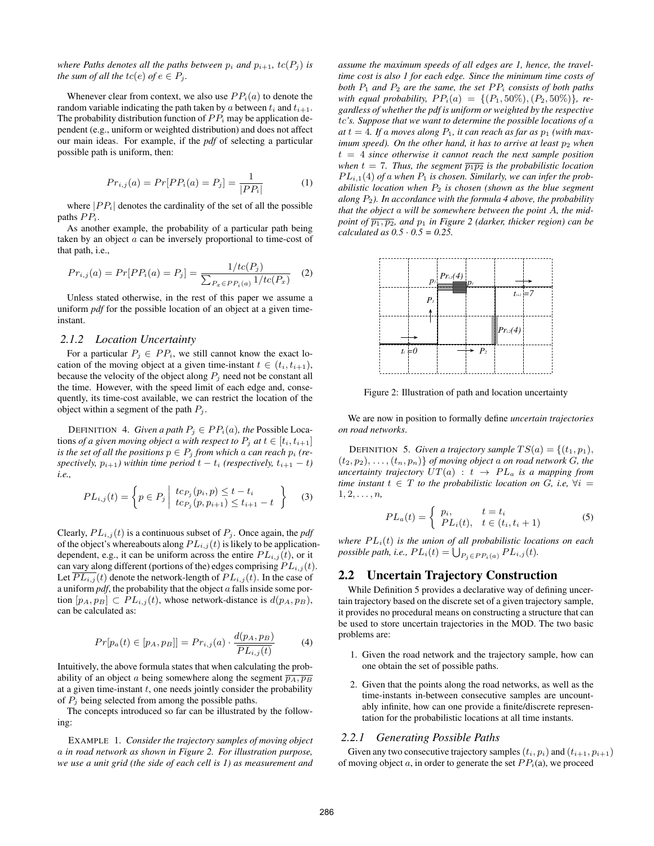*where Paths denotes all the paths between*  $p_i$  *and*  $p_{i+1}$ *, tc*( $P_i$ ) *is the sum of all the*  $tc(e)$  *of*  $e \in P_i$ *.* 

Whenever clear from context, we also use  $PP_i(a)$  to denote the random variable indicating the path taken by a between  $t_i$  and  $t_{i+1}$ . The probability distribution function of  $PP_i$  may be application dependent (e.g., uniform or weighted distribution) and does not affect our main ideas. For example, if the *pdf* of selecting a particular possible path is uniform, then:

$$
Pr_{i,j}(a) = Pr[PP_i(a) = P_j] = \frac{1}{|PP_i|}
$$
 (1)

where  $|PP_i|$  denotes the cardinality of the set of all the possible paths  $PP_i$ .

As another example, the probability of a particular path being taken by an object a can be inversely proportional to time-cost of that path, i.e.,

$$
Pr_{i,j}(a) = Pr[PP_i(a) = P_j] = \frac{1/tc(P_j)}{\sum_{P_x \in PP_i(a)} 1/tc(P_x)}
$$
(2)

Unless stated otherwise, in the rest of this paper we assume a uniform *pdf* for the possible location of an object at a given timeinstant.

#### *2.1.2 Location Uncertainty*

For a particular  $P_i \in PP_i$ , we still cannot know the exact location of the moving object at a given time-instant  $t \in (t_i, t_{i+1}),$ because the velocity of the object along  $P_j$  need not be constant all the time. However, with the speed limit of each edge and, consequently, its time-cost available, we can restrict the location of the object within a segment of the path  $P_j$ .

DEFINITION 4. *Given a path*  $P_i \in PP_i(a)$ *, the* Possible Locations *of a given moving object a with respect to*  $P_j$  *at*  $t \in [t_i, t_{i+1}]$ *is the set of all the positions*  $p \in P_j$  *from which a can reach*  $p_i$  *(respectively,*  $p_{i+1}$ *) within time period*  $t - t_i$  *(respectively,*  $t_{i+1} - t$ *) i.e.,*

$$
PL_{i,j}(t) = \left\{ p \in P_j \mid \begin{array}{c} t c_{P_j}(p_i, p) \le t - t_i \\ t c_{P_j}(p, p_{i+1}) \le t_{i+1} - t \end{array} \right\} \tag{3}
$$

Clearly,  $PL_{i,j}(t)$  is a continuous subset of  $P_j$ . Once again, the *pdf* of the object's whereabouts along  $PL_{i,j}(t)$  is likely to be applicationdependent, e.g., it can be uniform across the entire  $PL_{i,j}(t)$ , or it can vary along different (portions of the) edges comprising  $PL_{i,j}(t)$ . Let  $\overline{PL_{i,j}(t)}$  denote the network-length of  $PL_{i,j}(t)$ . In the case of a uniform *pdf*, the probability that the object a falls inside some portion  $[p_A, p_B] \subset PL_{i,j}(t)$ , whose network-distance is  $d(p_A, p_B)$ , can be calculated as:

$$
Pr[p_a(t) \in [p_A, p_B]] = Pr_{i,j}(a) \cdot \frac{d(p_A, p_B)}{PL_{i,j}(t)}
$$
(4)

Intuitively, the above formula states that when calculating the probability of an object a being somewhere along the segment  $\overline{p_A, p_B}$ at a given time-instant  $t$ , one needs jointly consider the probability of  $P_j$  being selected from among the possible paths.

The concepts introduced so far can be illustrated by the following:

EXAMPLE 1. *Consider the trajectory samples of moving object* a *in road network as shown in Figure 2. For illustration purpose, we use a unit grid (the side of each cell is 1) as measurement and* *assume the maximum speeds of all edges are 1, hence, the traveltime cost is also 1 for each edge. Since the minimum time costs of both*  $P_1$  *and*  $P_2$  *are the same, the set*  $PP_i$  *consists of both paths* with equal probability,  $PP_i(a) = \{(P_1, 50\%), (P_2, 50\%)\}$ , re*gardless of whether the pdf is uniform or weighted by the respective* tc*'s. Suppose that we want to determine the possible locations of* a at  $t = 4$ . If a moves along  $P_1$ , it can reach as far as  $p_1$  (with max*imum speed). On the other hand, it has to arrive at least*  $p_2$  *when* t = 4 *since otherwise it cannot reach the next sample position when*  $t = 7$ *. Thus, the segment*  $\overline{p_1p_2}$  *is the probabilistic location*  $PL_{i,1}(4)$  of a when  $P_1$  is chosen. Similarly, we can infer the prob*abilistic location when* P<sup>2</sup> *is chosen (shown as the blue segment along* P2*). In accordance with the formula 4 above, the probability that the object* a *will be somewhere between the point* A*, the midpoint of*  $\overline{p_1, p_2}$ , and  $p_1$  *in Figure 2 (darker, thicker region) can be calculated as 0.5* · *0.5 = 0.25.*



Figure 2: Illustration of path and location uncertainty

We are now in position to formally define *uncertain trajectories on road networks*.

**DEFINITION** 5. *Given a trajectory sample*  $TS(a) = \{(t_1, p_1),$  $(t_2, p_2), \ldots, (t_n, p_n)$  *of moving object a on road network G, the uncertainty trajectory*  $UT(a) : t \rightarrow PL_a$  *is a mapping from time instant*  $t \in T$  *to the probabilistic location on G, i.e,*  $\forall i =$  $1, 2, \ldots, n$ ,

$$
PL_a(t) = \begin{cases} p_i, & t = t_i \\ PL_i(t), & t \in (t_i, t_i + 1) \end{cases}
$$
 (5)

*where*  $PL_i(t)$  *is the union of all probabilistic locations on each*  $possible$  path, i.e.,  $PL_i(t) = \bigcup_{P_j \in PP_i(a)} PL_{i,j}(t)$ .

#### 2.2 Uncertain Trajectory Construction

While Definition 5 provides a declarative way of defining uncertain trajectory based on the discrete set of a given trajectory sample, it provides no procedural means on constructing a structure that can be used to store uncertain trajectories in the MOD. The two basic problems are:

- 1. Given the road network and the trajectory sample, how can one obtain the set of possible paths.
- 2. Given that the points along the road networks, as well as the time-instants in-between consecutive samples are uncountably infinite, how can one provide a finite/discrete representation for the probabilistic locations at all time instants.

#### *2.2.1 Generating Possible Paths*

Given any two consecutive trajectory samples  $(t_i, p_i)$  and  $(t_{i+1}, p_{i+1})$ of moving object  $a$ , in order to generate the set  $PP<sub>i</sub>(a)$ , we proceed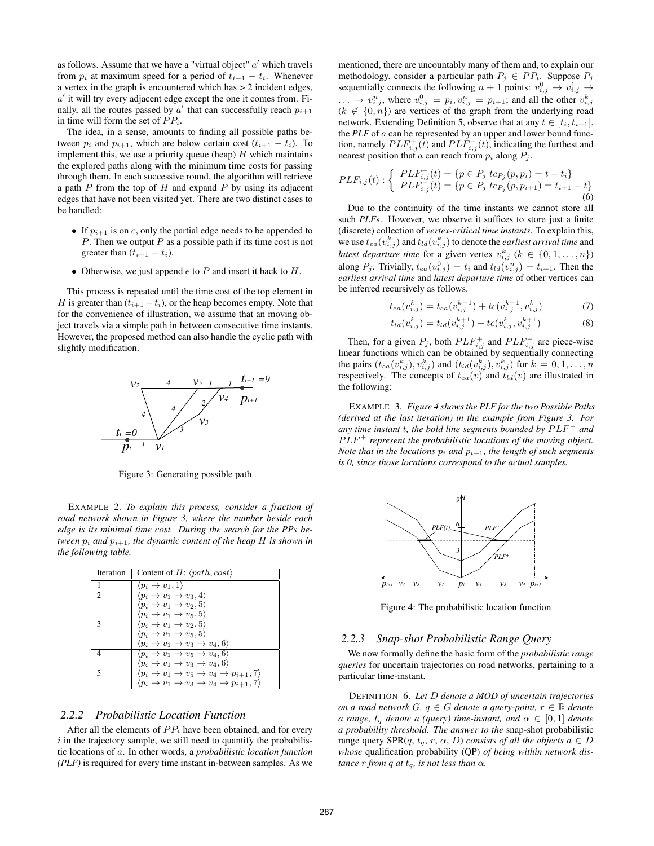as follows. Assume that we have a "virtual object"  $a'$  which travels from  $p_i$  at maximum speed for a period of  $t_{i+1} - t_i$ . Whenever a vertex in the graph is encountered which has > 2 incident edges,  $a'$  it will try every adjacent edge except the one it comes from. Finally, all the routes passed by  $a'$  that can successfully reach  $p_{i+1}$ in time will form the set of  $PP_i$ .

The idea, in a sense, amounts to finding all possible paths between  $p_i$  and  $p_{i+1}$ , which are below certain cost  $(t_{i+1} - t_i)$ . To implement this, we use a priority queue (heap)  $H$  which maintains the explored paths along with the minimum time costs for passing through them. In each successive round, the algorithm will retrieve a path  $P$  from the top of  $H$  and expand  $P$  by using its adjacent edges that have not been visited yet. There are two distinct cases to be handled:

- If  $p_{i+1}$  is on e, only the partial edge needs to be appended to P. Then we output  $P$  as a possible path if its time cost is not greater than  $(t_{i+1} - t_i)$ .
- Otherwise, we just append  $e$  to  $P$  and insert it back to  $H$ .

This process is repeated until the time cost of the top element in H is greater than  $(t_{i+1} - t_i)$ , or the heap becomes empty. Note that for the convenience of illustration, we assume that an moving object travels via a simple path in between consecutive time instants. However, the proposed method can also handle the cyclic path with slightly modification.



Figure 3: Generating possible path

EXAMPLE 2. *To explain this process, consider a fraction of road network shown in Figure 3, where the number beside each edge is its minimal time cost. During the search for the PPs between*  $p_i$  *and*  $p_{i+1}$ *, the dynamic content of the heap*  $H$  *is shown in the following table.*

| <i>Iteration</i> | Content of H: $\langle path, cost \rangle$                                                   |
|------------------|----------------------------------------------------------------------------------------------|
|                  | $\langle p_i \rightarrow v_1, 1 \rangle$                                                     |
|                  | $\langle p_i \rightarrow v_1 \rightarrow v_3, 4 \rangle$                                     |
|                  | $\langle p_i \rightarrow v_1 \rightarrow v_2, 5 \rangle$                                     |
|                  | $\langle p_i \rightarrow v_1 \rightarrow v_5, 5 \rangle$                                     |
| 3                | $\langle p_i \rightarrow v_1 \rightarrow v_2, 5 \rangle$                                     |
|                  | $\langle p_i \rightarrow v_1 \rightarrow v_5, 5 \rangle$                                     |
|                  | $\langle p_i \rightarrow v_1 \rightarrow v_3 \rightarrow v_4, 6 \rangle$                     |
|                  | $\langle p_i \rightarrow v_1 \rightarrow v_5 \rightarrow v_4, 6 \rangle$                     |
|                  | $\langle p_i \rightarrow v_1 \rightarrow v_3 \rightarrow v_4, 6 \rangle$                     |
| 5                | $\langle p_i \rightarrow v_1 \rightarrow v_5 \rightarrow v_4 \rightarrow p_{i+1}, 7 \rangle$ |
|                  | $\langle p_i \rightarrow v_1 \rightarrow v_3 \rightarrow v_4 \rightarrow p_{i+1}, 7 \rangle$ |

#### *2.2.2 Probabilistic Location Function*

After all the elements of  $PP_i$  have been obtained, and for every  $i$  in the trajectory sample, we still need to quantify the probabilistic locations of a. In other words, a *probabilistic location function (PLF)* is required for every time instant in-between samples. As we mentioned, there are uncountably many of them and, to explain our methodology, consider a particular path  $P_j \in PP_i$ . Suppose  $P_j$ sequentially connects the following  $n + 1$  points:  $v_{i,j}^0 \rightarrow v_{i,j}^1 \rightarrow$  $\ldots \rightarrow v_{i,j}^n$ , where  $v_{i,j}^0 = p_i, v_{i,j}^n = p_{i+1}$ ; and all the other  $v_{i,j}^k$  $(k \notin \{0, n\})$  are vertices of the graph from the underlying road network. Extending Definition 5, observe that at any  $t \in [t_i, t_{i+1}],$ the *PLF* of a can be represented by an upper and lower bound function, namely  $PLF_{i,j}^+(\tilde{t})$  and  $PLF_{i,j}^-(t)$ , indicating the furthest and nearest position that a can reach from  $p_i$  along  $P_i$ .

$$
PLF_{i,j}(t): \left\{ \begin{array}{l} PLF_{i,j}^+(t) = \{ p \in P_j | tc_{P_j}(p, p_i) = t - t_i \} \\ PLF_{i,j}^-(t) = \{ p \in P_j | tc_{P_j}(p, p_{i+1}) = t_{i+1} - t \} \\ (6) \end{array} \right.
$$

Due to the continuity of the time instants we cannot store all such *PLF*s. However, we observe it suffices to store just a finite (discrete) collection of *vertex-critical time instants*. To explain this, we use  $t_{ea}(v_{i,j}^k)$  and  $t_{ld}(v_{i,j}^k)$  to denote the *earliest arrival time* and *latest departure time* for a given vertex  $v_{i,j}^k$  ( $k \in \{0, 1, \ldots, n\}$ ) along  $P_j$ . Trivially,  $t_{ea}(v_{i,j}^0) = t_i$  and  $t_{ld}(v_{i,j}^n) = t_{i+1}$ . Then the *earliest arrival time* and *latest departure time* of other vertices can be inferred recursively as follows.

$$
t_{ea}(v_{i,j}^k) = t_{ea}(v_{i,j}^{k-1}) + tc(v_{i,j}^{k-1}, v_{i,j}^k)
$$
\n<sup>(7)</sup>

$$
t_{ld}(v_{i,j}^k) = t_{ld}(v_{i,j}^{k+1}) - tc(v_{i,j}^k, v_{i,j}^{k+1})
$$
\n(8)

Then, for a given  $P_j$ , both  $PLF_{i,j}^+$  and  $PLF_{i,j}^-$  are piece-wise linear functions which can be obtained by sequentially connecting the pairs  $(t_{ea}(v_{i,j}^k), v_{i,j}^k)$  and  $(t_{ld}(v_{i,j}^k), v_{i,j}^k)$  for  $k = 0, 1, ..., n$ respectively. The concepts of  $t_{ea}(v)$  and  $\dot{t}_{ld}(v)$  are illustrated in the following:

EXAMPLE 3. *Figure 4 shows the PLF for the two Possible Paths (derived at the last iteration) in the example from Figure 3. For any time instant t, the bold line segments bounded by*  $PLF<sup>−</sup>$  *and*  $PLF^+$  represent the probabilistic locations of the moving object. *Note that in the locations*  $p_i$  *and*  $p_{i+1}$ *, the length of such segments is 0, since those locations correspond to the actual samples.*



Figure 4: The probabilistic location function

#### *2.2.3 Snap-shot Probabilistic Range Query*

We now formally define the basic form of the *probabilistic range queries* for uncertain trajectories on road networks, pertaining to a particular time-instant.

DEFINITION 6. *Let* D *denote a MOD of uncertain trajectories on a road network*  $G, q \in G$  *denote a query-point,*  $r \in \mathbb{R}$  *denote a range,*  $t_q$  *denote a (query) time-instant, and*  $\alpha \in [0, 1]$  *denote a probability threshold. The answer to the* snap-shot probabilistic range query  $SPR(q, t_q, r, \alpha, D)$  *consists of all the objects*  $a \in D$ *whose* qualification probability (QP) *of being within network distance* r *from* q at  $t_q$ , *is not less than*  $\alpha$ *.*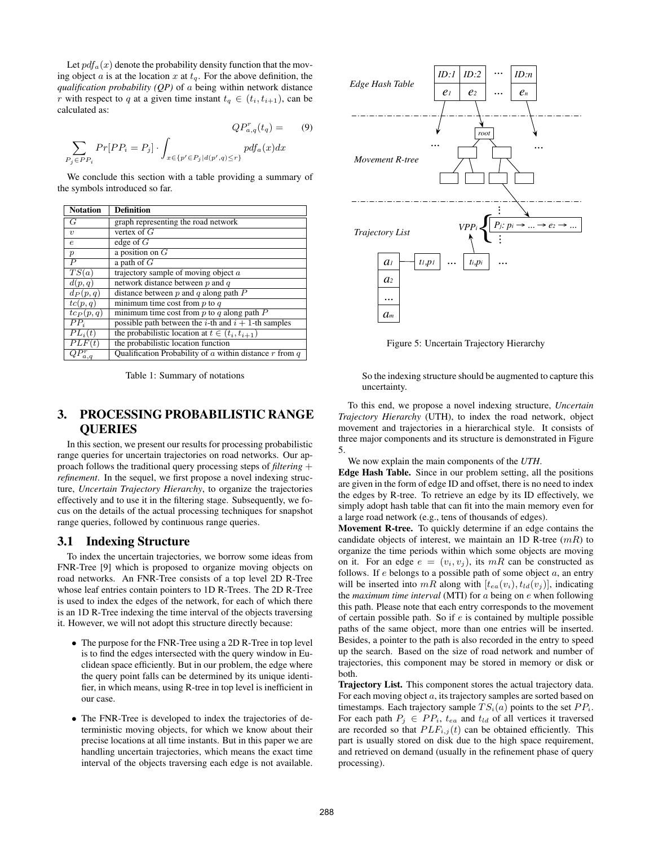Let  $pdf_a(x)$  denote the probability density function that the moving object  $a$  is at the location  $x$  at  $t_q$ . For the above definition, the *qualification probability (QP)* of a being within network distance r with respect to q at a given time instant  $t_q \in (t_i, t_{i+1})$ , can be calculated as:

$$
QP_{a,q}^r(t_q) = \n\sum_{P_j \in PP_i} Pr[PP_i = P_j] \cdot \int_{x \in \{p' \in P_j | d(p', q) \le r\}} p df_a(x) dx
$$
\n(9)

We conclude this section with a table providing a summary of the symbols introduced so far.

| <b>Notation</b>       | <b>Definition</b>                                                  |
|-----------------------|--------------------------------------------------------------------|
| G                     | graph representing the road network                                |
| $\boldsymbol{v}$      | vertex of $\overline{G}$                                           |
| $\epsilon$            | edge of $G$                                                        |
| $\boldsymbol{p}$      | a position on $G$                                                  |
| $\overline{P}$        | a path of $G$                                                      |
| TS(a)                 | trajectory sample of moving object $\alpha$                        |
| d(p,q)                | network distance between $p$ and $q$                               |
| $\overline{d_P}(p,q)$ | distance between $p$ and $q$ along path $P$                        |
| tc(p,q)               | minimum time cost from $p$ to $q$                                  |
| $tc_P(p,q)$           | minimum time cost from $p$ to $q$ along path $P$                   |
| $PP_i$                | possible path between the <i>i</i> -th and $i + 1$ -th samples     |
| $PL_i(t)$             | the probabilistic location at $t \in (t_i, t_{i+1})$               |
| PLF(t)                | the probabilistic location function                                |
| a, q                  | Qualification Probability of $\alpha$ within distance $r$ from $q$ |

Table 1: Summary of notations

# 3. PROCESSING PROBABILISTIC RANGE **QUERIES**

In this section, we present our results for processing probabilistic range queries for uncertain trajectories on road networks. Our approach follows the traditional query processing steps of *filtering* + *refinement*. In the sequel, we first propose a novel indexing structure, *Uncertain Trajectory Hierarchy*, to organize the trajectories effectively and to use it in the filtering stage. Subsequently, we focus on the details of the actual processing techniques for snapshot range queries, followed by continuous range queries.

# 3.1 Indexing Structure

To index the uncertain trajectories, we borrow some ideas from FNR-Tree [9] which is proposed to organize moving objects on road networks. An FNR-Tree consists of a top level 2D R-Tree whose leaf entries contain pointers to 1D R-Trees. The 2D R-Tree is used to index the edges of the network, for each of which there is an 1D R-Tree indexing the time interval of the objects traversing it. However, we will not adopt this structure directly because:

- The purpose for the FNR-Tree using a 2D R-Tree in top level is to find the edges intersected with the query window in Euclidean space efficiently. But in our problem, the edge where the query point falls can be determined by its unique identifier, in which means, using R-tree in top level is inefficient in our case.
- The FNR-Tree is developed to index the trajectories of deterministic moving objects, for which we know about their precise locations at all time instants. But in this paper we are handling uncertain trajectories, which means the exact time interval of the objects traversing each edge is not available.



Figure 5: Uncertain Trajectory Hierarchy

So the indexing structure should be augmented to capture this uncertainty.

To this end, we propose a novel indexing structure, *Uncertain Trajectory Hierarchy* (UTH), to index the road network, object movement and trajectories in a hierarchical style. It consists of three major components and its structure is demonstrated in Figure 5.

We now explain the main components of the *UTH*.

Edge Hash Table. Since in our problem setting, all the positions are given in the form of edge ID and offset, there is no need to index the edges by R-tree. To retrieve an edge by its ID effectively, we simply adopt hash table that can fit into the main memory even for a large road network (e.g., tens of thousands of edges).

Movement R-tree. To quickly determine if an edge contains the candidate objects of interest, we maintain an 1D R-tree  $(mR)$  to organize the time periods within which some objects are moving on it. For an edge  $e = (v_i, v_j)$ , its mR can be constructed as follows. If  $e$  belongs to a possible path of some object  $a$ , an entry will be inserted into  $mR$  along with  $[t_{ea}(v_i), t_{ld}(v_j)]$ , indicating the *maximum time interval* (MTI) for a being on e when following this path. Please note that each entry corresponds to the movement of certain possible path. So if  $e$  is contained by multiple possible paths of the same object, more than one entries will be inserted. Besides, a pointer to the path is also recorded in the entry to speed up the search. Based on the size of road network and number of trajectories, this component may be stored in memory or disk or both.

Trajectory List. This component stores the actual trajectory data. For each moving object a, its trajectory samples are sorted based on timestamps. Each trajectory sample  $TS_i(a)$  points to the set  $PP_i$ . For each path  $P_j \in PP_i$ ,  $t_{ea}$  and  $t_{ld}$  of all vertices it traversed are recorded so that  $PLF_{i,j}(t)$  can be obtained efficiently. This part is usually stored on disk due to the high space requirement, and retrieved on demand (usually in the refinement phase of query processing).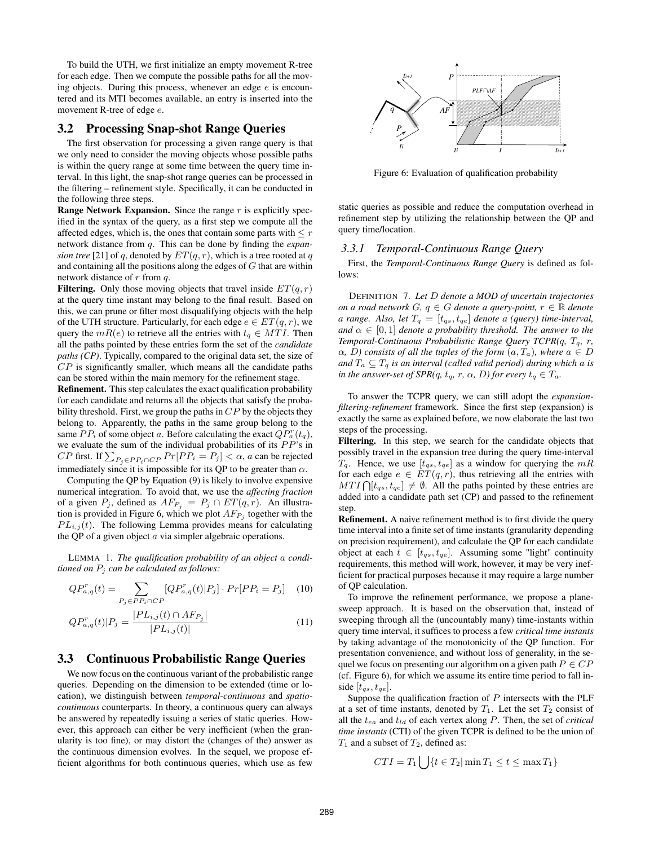To build the UTH, we first initialize an empty movement R-tree for each edge. Then we compute the possible paths for all the moving objects. During this process, whenever an edge  $e$  is encountered and its MTI becomes available, an entry is inserted into the movement R-tree of edge e.

# 3.2 Processing Snap-shot Range Queries

The first observation for processing a given range query is that we only need to consider the moving objects whose possible paths is within the query range at some time between the query time interval. In this light, the snap-shot range queries can be processed in the filtering – refinement style. Specifically, it can be conducted in the following three steps.

**Range Network Expansion.** Since the range  $r$  is explicitly specified in the syntax of the query, as a first step we compute all the affected edges, which is, the ones that contain some parts with  $\leq r$ network distance from q. This can be done by finding the *expansion tree* [21] of q, denoted by  $ET(q, r)$ , which is a tree rooted at q and containing all the positions along the edges of G that are within network distance of  $r$  from  $q$ .

Filtering. Only those moving objects that travel inside  $ET(q, r)$ at the query time instant may belong to the final result. Based on this, we can prune or filter most disqualifying objects with the help of the UTH structure. Particularly, for each edge  $e \in ET(q, r)$ , we query the  $mR(e)$  to retrieve all the entries with  $t_q \in MTI$ . Then all the paths pointed by these entries form the set of the *candidate paths (CP)*. Typically, compared to the original data set, the size of  $CP$  is significantly smaller, which means all the candidate paths can be stored within the main memory for the refinement stage.

Refinement. This step calculates the exact qualification probability for each candidate and returns all the objects that satisfy the probability threshold. First, we group the paths in  $CP$  by the objects they belong to. Apparently, the paths in the same group belong to the same  $PP_i$  of some object a. Before calculating the exact  $QP_a^r(t_q)$ , we evaluate the sum of the individual probabilities of its  $PP$ 's in *CP* first. If  $\sum_{P_j \in PP_i \cap CP} Pr[PP_i = P_j] < \alpha$ , *a* can be rejected immediately since it is impossible for its QP to be greater than  $\alpha$ .

Computing the QP by Equation (9) is likely to involve expensive numerical integration. To avoid that, we use the *affecting fraction* of a given  $P_j$ , defined as  $AF_{P_j} = P_j \cap ET(q, r)$ . An illustration is provided in Figure 6, which we plot  $AF_{P_j}$  together with the  $PL_{i,j}(t)$ . The following Lemma provides means for calculating the QP of a given object  $\alpha$  via simpler algebraic operations.

LEMMA 1. *The qualification probability of an object* a *conditioned on* P<sup>j</sup> *can be calculated as follows:*

$$
QP_{a,q}^r(t) = \sum_{P_j \in PP_i \cap CP} [QP_{a,q}^r(t)|P_j] \cdot Pr[PP_i = P_j] \quad (10)
$$

$$
QP_{a,q}^r(t)|P_j = \frac{|PL_{i,j}(t) \cap AF_{P_j}|}{|PL_{i,j}(t)|} \tag{11}
$$

#### 3.3 Continuous Probabilistic Range Queries

We now focus on the continuous variant of the probabilistic range queries. Depending on the dimension to be extended (time or location), we distinguish between *temporal-continuous* and *spatiocontinuous* counterparts. In theory, a continuous query can always be answered by repeatedly issuing a series of static queries. However, this approach can either be very inefficient (when the granularity is too fine), or may distort the (changes of the) answer as the continuous dimension evolves. In the sequel, we propose efficient algorithms for both continuous queries, which use as few



Figure 6: Evaluation of qualification probability

static queries as possible and reduce the computation overhead in refinement step by utilizing the relationship between the QP and query time/location.

#### *3.3.1 Temporal-Continuous Range Query*

First, the *Temporal-Continuous Range Query* is defined as follows:

DEFINITION 7. *Let* D *denote a MOD of uncertain trajectories on a road network*  $G, q \in G$  *denote a query-point,*  $r \in \mathbb{R}$  *denote a range. Also, let*  $T_q = [t_{qs}, t_{qe}]$  *denote a (query) time-interval, and*  $\alpha \in [0, 1]$  *denote a probability threshold. The answer to the Temporal-Continuous Probabilistic Range Query TCPR(*q*,* Tq*,* r*,*  $\alpha$ *, D)* consists of all the tuples of the form  $(a, T_a)$ *, where*  $a \in D$ *and*  $T_a \subseteq T_q$  *is an interval (called valid period) during which a is in the answer-set of SPR(q, t<sub>q</sub>, r,*  $\alpha$ *, D) for every*  $t_q \in T_a$ .

To answer the TCPR query, we can still adopt the *expansionfiltering-refinement* framework. Since the first step (expansion) is exactly the same as explained before, we now elaborate the last two steps of the processing.

Filtering. In this step, we search for the candidate objects that possibly travel in the expansion tree during the query time-interval  $T_q$ . Hence, we use  $[t_{qs}, t_{qe}]$  as a window for querying the mR for each edge  $e \in ET(q, r)$ , thus retrieving all the entries with  $MTI\bigcap [t_{qs}, t_{qe}] \neq \emptyset$ . All the paths pointed by these entries are added into a candidate path set (CP) and passed to the refinement step.

Refinement. A naive refinement method is to first divide the query time interval into a finite set of time instants (granularity depending on precision requirement), and calculate the QP for each candidate object at each  $t \in [t_{qs}, t_{qe}]$ . Assuming some "light" continuity requirements, this method will work, however, it may be very inefficient for practical purposes because it may require a large number of QP calculation.

To improve the refinement performance, we propose a planesweep approach. It is based on the observation that, instead of sweeping through all the (uncountably many) time-instants within query time interval, it suffices to process a few *critical time instants* by taking advantage of the monotonicity of the QP function. For presentation convenience, and without loss of generality, in the sequel we focus on presenting our algorithm on a given path  $P \in CP$ (cf. Figure 6), for which we assume its entire time period to fall inside  $[t_{qs}, t_{qe}]$ .

Suppose the qualification fraction of  $P$  intersects with the PLF at a set of time instants, denoted by  $T_1$ . Let the set  $T_2$  consist of all the  $t_{ea}$  and  $t_{ld}$  of each vertex along  $P$ . Then, the set of *critical time instants* (CTI) of the given TCPR is defined to be the union of  $T_1$  and a subset of  $T_2$ , defined as:

$$
CTI = T_1 \bigcup \{ t \in T_2 \mid \min T_1 \le t \le \max T_1 \}
$$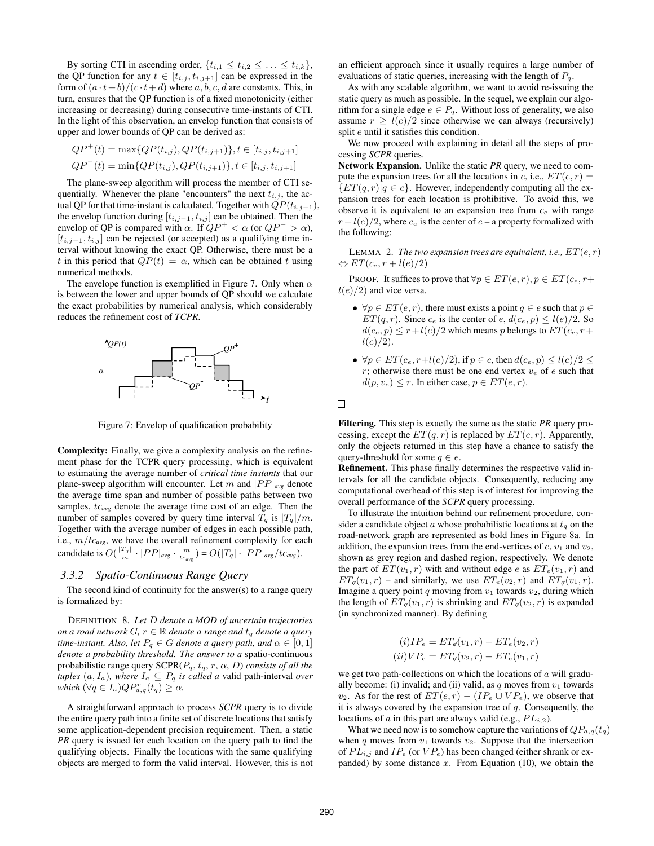By sorting CTI in ascending order,  $\{t_{i,1} \leq t_{i,2} \leq \ldots \leq t_{i,k}\},$ the QP function for any  $t \in [t_{i,j}, t_{i,j+1}]$  can be expressed in the form of  $(a \cdot t + b)/(c \cdot t + d)$  where a, b, c, d are constants. This, in turn, ensures that the QP function is of a fixed monotonicity (either increasing or decreasing) during consecutive time-instants of CTI. In the light of this observation, an envelop function that consists of upper and lower bounds of QP can be derived as:

$$
QP^+(t) = \max\{QP(t_{i,j}), QP(t_{i,j+1})\}, t \in [t_{i,j}, t_{i,j+1}]
$$
  

$$
QP^-(t) = \min\{QP(t_{i,j}), QP(t_{i,j+1})\}, t \in [t_{i,j}, t_{i,j+1}]
$$

The plane-sweep algorithm will process the member of CTI sequentially. Whenever the plane "encounters" the next  $t_{i,j}$ , the actual QP for that time-instant is calculated. Together with  $QP(t_{i,j-1}),$ the envelop function during  $[t_{i,j-1}, t_{i,j}]$  can be obtained. Then the envelop of QP is compared with  $\alpha$ . If  $QP^+ < \alpha$  (or  $QP^- > \alpha$ ),  $[t_{i,j-1}, t_{i,j}]$  can be rejected (or accepted) as a qualifying time interval without knowing the exact QP. Otherwise, there must be a t in this period that  $QP(t) = \alpha$ , which can be obtained t using numerical methods.

The envelope function is exemplified in Figure 7. Only when  $\alpha$ is between the lower and upper bounds of QP should we calculate the exact probabilities by numerical analysis, which considerably reduces the refinement cost of *TCPR*.



Figure 7: Envelop of qualification probability

Complexity: Finally, we give a complexity analysis on the refinement phase for the TCPR query processing, which is equivalent to estimating the average number of *critical time instants* that our plane-sweep algorithm will encounter. Let m and  $|PP|_{avg}$  denote the average time span and number of possible paths between two samples, tc*avg* denote the average time cost of an edge. Then the number of samples covered by query time interval  $T_q$  is  $|T_q|/m$ . Together with the average number of edges in each possible path, i.e.,  $m/tc_{avg}$ , we have the overall refinement complexity for each candidate is  $O(\frac{|T_q|}{m} \cdot |PP|_{avg} \cdot \frac{m}{tc_{avg}}) = O(|T_q| \cdot |PP|_{avg}/tc_{avg})$ .

#### *3.3.2 Spatio-Continuous Range Query*

The second kind of continuity for the answer(s) to a range query is formalized by:

DEFINITION 8. *Let* D *denote a MOD of uncertain trajectories on a road network*  $G, r \in \mathbb{R}$  *denote a range and*  $t<sub>q</sub>$  *denote a query time-instant. Also, let*  $P_q \in G$  *denote a query path, and*  $\alpha \in [0,1]$ *denote a probability threshold. The answer to a* spatio-continuous probabilistic range query SCPR(Pq, tq, r, α, D) *consists of all the tuples*  $(a, I_a)$ *, where*  $I_a \subseteq P_q$  *is called a* valid path-interval *over which*  $(\forall q \in I_a) Q P_{a,q}^r(t_q) \geq \alpha$ *.* 

A straightforward approach to process *SCPR* query is to divide the entire query path into a finite set of discrete locations that satisfy some application-dependent precision requirement. Then, a static *PR* query is issued for each location on the query path to find the qualifying objects. Finally the locations with the same qualifying objects are merged to form the valid interval. However, this is not an efficient approach since it usually requires a large number of evaluations of static queries, increasing with the length of  $P<sub>q</sub>$ .

As with any scalable algorithm, we want to avoid re-issuing the static query as much as possible. In the sequel, we explain our algorithm for a single edge  $e \in P_q$ . Without loss of generality, we also assume  $r \ge l(e)/2$  since otherwise we can always (recursively) split e until it satisfies this condition.

We now proceed with explaining in detail all the steps of processing *SCPR* queries.

Network Expansion. Unlike the static *PR* query, we need to compute the expansion trees for all the locations in e, i.e.,  $ET(e, r) =$  ${E T(q, r) | q \in e}$ . However, independently computing all the expansion trees for each location is prohibitive. To avoid this, we observe it is equivalent to an expansion tree from  $c_e$  with range  $r+l(e)/2$ , where  $c_e$  is the center of  $e$  – a property formalized with the following:

LEMMA 2. *The two expansion trees are equivalent, i.e.,*  $ET(e, r)$  $\Leftrightarrow ET(c_e, r + l(e)/2)$ 

PROOF. It suffices to prove that  $\forall p \in ET(e, r)$ ,  $p \in ET(c_e, r+)$  $l(e)/2$ ) and vice versa.

- $\forall p \in ET(e, r)$ , there must exists a point  $q \in e$  such that  $p \in \mathbb{Z}$  $ET(q, r)$ . Since  $c_e$  is the center of e,  $d(c_e, p) \leq l(e)/2$ . So  $d(c_e, p) \leq r + l(e)/2$  which means p belongs to  $ET(c_e, r+$  $l(e)/2$ ).
- $\forall p \in ET(c_e, r+l(e)/2)$ , if  $p \in e$ , then  $d(c_e, p) \leq l(e)/2 \leq$ r; otherwise there must be one end vertex  $v_e$  of e such that  $d(p, v_e) \leq r$ . In either case,  $p \in ET(e, r)$ .

#### $\Box$

Filtering. This step is exactly the same as the static *PR* query processing, except the  $ET(q, r)$  is replaced by  $ET(e, r)$ . Apparently, only the objects returned in this step have a chance to satisfy the query-threshold for some  $q \in e$ .

Refinement. This phase finally determines the respective valid intervals for all the candidate objects. Consequently, reducing any computational overhead of this step is of interest for improving the overall performance of the *SCPR* query processing.

To illustrate the intuition behind our refinement procedure, consider a candidate object a whose probabilistic locations at  $t_q$  on the road-network graph are represented as bold lines in Figure 8a. In addition, the expansion trees from the end-vertices of  $e$ ,  $v_1$  and  $v_2$ , shown as grey region and dashed region, respectively. We denote the part of  $ET(v_1, r)$  with and without edge e as  $ET_e(v_1, r)$  and  $ET_e(v_1, r)$  – and similarly, we use  $ET_e(v_2, r)$  and  $ET_e(v_1, r)$ . Imagine a query point  $q$  moving from  $v_1$  towards  $v_2$ , during which the length of  $ET_e(v_1, r)$  is shrinking and  $ET_e(v_2, r)$  is expanded (in synchronized manner). By defining

$$
(i)IP_e = ET_{\varphi}(v_1, r) - ET_e(v_2, r)
$$

$$
(ii)VP_e = ET_{\varphi}(v_2, r) - ET_e(v_1, r)
$$

we get two path-collections on which the locations of  $\alpha$  will gradually become: (i) invalid; and (ii) valid, as q moves from  $v_1$  towards  $v_2$ . As for the rest of  $ET(e, r) - (IP_e \cup VP_e)$ , we observe that it is always covered by the expansion tree of  $q$ . Consequently, the locations of a in this part are always valid (e.g.,  $PL_{i,2}$ ).

What we need now is to somehow capture the variations of  $QP_{a,q}(t_q)$ when  $q$  moves from  $v_1$  towards  $v_2$ . Suppose that the intersection of  $PL_{i,j}$  and  $IP_e$  (or  $VP_e$ ) has been changed (either shrank or expanded) by some distance  $x$ . From Equation (10), we obtain the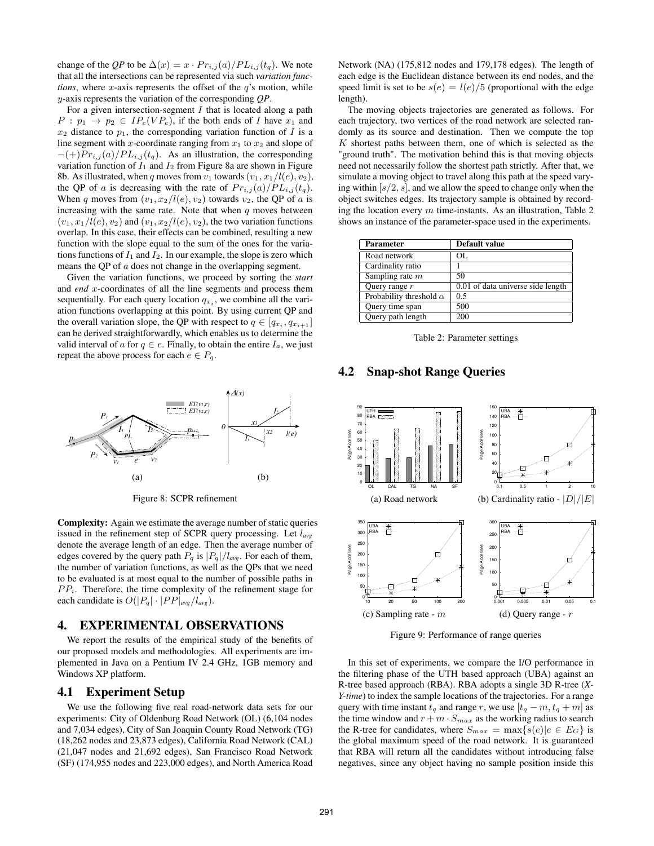change of the *QP* to be  $\Delta(x) = x \cdot Pr_{i,j}(a)/PL_{i,j}(t_q)$ . We note that all the intersections can be represented via such *variation functions*, where  $x$ -axis represents the offset of the  $q$ 's motion, while y-axis represents the variation of the corresponding *QP*.

For a given intersection-segment  $I$  that is located along a path  $P: p_1 \rightarrow p_2 \in IP_e(VP_e)$ , if the both ends of I have  $x_1$  and  $x_2$  distance to  $p_1$ , the corresponding variation function of I is a line segment with x-coordinate ranging from  $x_1$  to  $x_2$  and slope of  $-(+)Pr_{i,j}(a)/PL_{i,j}(t_a)$ . As an illustration, the corresponding variation function of  $I_1$  and  $I_2$  from Figure 8a are shown in Figure 8b. As illustrated, when q moves from  $v_1$  towards  $(v_1, x_1/l(e), v_2)$ , the QP of a is decreasing with the rate of  $Pr_{i,j}(a)/PL_{i,j}(t_q)$ . When q moves from  $(v_1, x_2/l(e), v_2)$  towards  $v_2$ , the QP of a is increasing with the same rate. Note that when  $q$  moves between  $(v_1, x_1/l(e), v_2)$  and  $(v_1, x_2/l(e), v_2)$ , the two variation functions overlap. In this case, their effects can be combined, resulting a new function with the slope equal to the sum of the ones for the variations functions of  $I_1$  and  $I_2$ . In our example, the slope is zero which means the QP of a does not change in the overlapping segment.

Given the variation functions, we proceed by sorting the *start* and *end* x-coordinates of all the line segments and process them sequentially. For each query location  $q_{x_i}$ , we combine all the variation functions overlapping at this point. By using current QP and the overall variation slope, the QP with respect to  $q \in [q_{x_i}, q_{x_{i+1}}]$ can be derived straightforwardly, which enables us to determine the valid interval of a for  $q \in e$ . Finally, to obtain the entire  $I_a$ , we just repeat the above process for each  $e \in P_q$ .



Figure 8: SCPR refinement

Complexity: Again we estimate the average number of static queries issued in the refinement step of SCPR query processing. Let l*avg* denote the average length of an edge. Then the average number of edges covered by the query path  $P_q$  is  $|P_q|/l_{avg}$ . For each of them, the number of variation functions, as well as the QPs that we need to be evaluated is at most equal to the number of possible paths in  $PP<sub>i</sub>$ . Therefore, the time complexity of the refinement stage for each candidate is  $O(|P_q| \cdot |PP|_{avg}/l_{avg})$ .

## 4. EXPERIMENTAL OBSERVATIONS

We report the results of the empirical study of the benefits of our proposed models and methodologies. All experiments are implemented in Java on a Pentium IV 2.4 GHz, 1GB memory and Windows XP platform.

#### 4.1 Experiment Setup

We use the following five real road-network data sets for our experiments: City of Oldenburg Road Network (OL) (6,104 nodes and 7,034 edges), City of San Joaquin County Road Network (TG) (18,262 nodes and 23,873 edges), California Road Network (CAL) (21,047 nodes and 21,692 edges), San Francisco Road Network (SF) (174,955 nodes and 223,000 edges), and North America Road Network (NA) (175,812 nodes and 179,178 edges). The length of each edge is the Euclidean distance between its end nodes, and the speed limit is set to be  $s(e) = l(e)/5$  (proportional with the edge length).

The moving objects trajectories are generated as follows. For each trajectory, two vertices of the road network are selected randomly as its source and destination. Then we compute the top  $K$  shortest paths between them, one of which is selected as the "ground truth". The motivation behind this is that moving objects need not necessarily follow the shortest path strictly. After that, we simulate a moving object to travel along this path at the speed varying within  $[s/2, s]$ , and we allow the speed to change only when the object switches edges. Its trajectory sample is obtained by recording the location every  $m$  time-instants. As an illustration, Table 2 shows an instance of the parameter-space used in the experiments.

| Parameter                      | Default value                     |
|--------------------------------|-----------------------------------|
| Road network                   | OL.                               |
| Cardinality ratio              |                                   |
| Sampling rate $m$              | 50                                |
| Query range $r$                | 0.01 of data universe side length |
| Probability threshold $\alpha$ | 0.5                               |
| Query time span                | 500                               |
| Ouery path length              | 200                               |

Table 2: Parameter settings

#### 4.2 Snap-shot Range Queries



Figure 9: Performance of range queries

In this set of experiments, we compare the I/O performance in the filtering phase of the UTH based approach (UBA) against an R-tree based approach (RBA). RBA adopts a single 3D R-tree (*X-Y-time*) to index the sample locations of the trajectories. For a range query with time instant  $t_q$  and range r, we use  $[t_q - m, t_q + m]$  as the time window and  $r + m \cdot S_{max}$  as the working radius to search the R-tree for candidates, where  $S_{max} = \max\{s(e)|e \in E_G\}$  is the global maximum speed of the road network. It is guaranteed that RBA will return all the candidates without introducing false negatives, since any object having no sample position inside this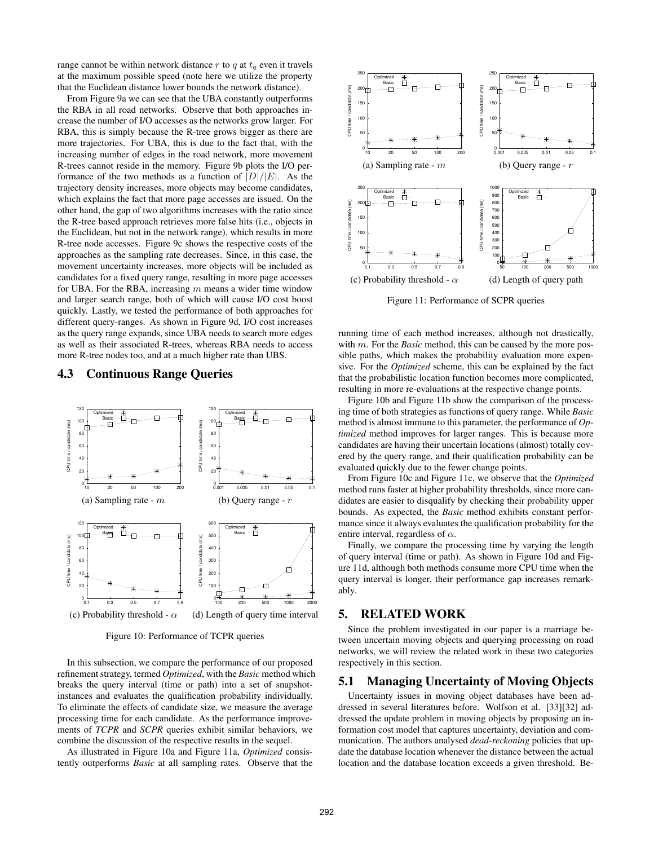range cannot be within network distance r to q at  $t_q$  even it travels at the maximum possible speed (note here we utilize the property that the Euclidean distance lower bounds the network distance).

From Figure 9a we can see that the UBA constantly outperforms the RBA in all road networks. Observe that both approaches increase the number of I/O accesses as the networks grow larger. For RBA, this is simply because the R-tree grows bigger as there are more trajectories. For UBA, this is due to the fact that, with the increasing number of edges in the road network, more movement R-trees cannot reside in the memory. Figure 9b plots the I/O performance of the two methods as a function of  $|D|/|E|$ . As the trajectory density increases, more objects may become candidates, which explains the fact that more page accesses are issued. On the other hand, the gap of two algorithms increases with the ratio since the R-tree based approach retrieves more false hits (i.e., objects in the Euclidean, but not in the network range), which results in more R-tree node accesses. Figure 9c shows the respective costs of the approaches as the sampling rate decreases. Since, in this case, the movement uncertainty increases, more objects will be included as candidates for a fixed query range, resulting in more page accesses for UBA. For the RBA, increasing  $m$  means a wider time window and larger search range, both of which will cause I/O cost boost quickly. Lastly, we tested the performance of both approaches for different query-ranges. As shown in Figure 9d, I/O cost increases as the query range expands, since UBA needs to search more edges as well as their associated R-trees, whereas RBA needs to access more R-tree nodes too, and at a much higher rate than UBS.

#### 4.3 Continuous Range Queries



Figure 10: Performance of TCPR queries

In this subsection, we compare the performance of our proposed refinement strategy, termed *Optimized*, with the *Basic* method which breaks the query interval (time or path) into a set of snapshotinstances and evaluates the qualification probability individually. To eliminate the effects of candidate size, we measure the average processing time for each candidate. As the performance improvements of *TCPR* and *SCPR* queries exhibit similar behaviors, we combine the discussion of the respective results in the sequel.

As illustrated in Figure 10a and Figure 11a, *Optimized* consistently outperforms *Basic* at all sampling rates. Observe that the



Figure 11: Performance of SCPR queries

running time of each method increases, although not drastically, with m. For the *Basic* method, this can be caused by the more possible paths, which makes the probability evaluation more expensive. For the *Optimized* scheme, this can be explained by the fact that the probabilistic location function becomes more complicated, resulting in more re-evaluations at the respective change points.

Figure 10b and Figure 11b show the comparison of the processing time of both strategies as functions of query range. While *Basic* method is almost immune to this parameter, the performance of *Optimized* method improves for larger ranges. This is because more candidates are having their uncertain locations (almost) totally covered by the query range, and their qualification probability can be evaluated quickly due to the fewer change points.

From Figure 10c and Figure 11c, we observe that the *Optimized* method runs faster at higher probability thresholds, since more candidates are easier to disqualify by checking their probability upper bounds. As expected, the *Basic* method exhibits constant performance since it always evaluates the qualification probability for the entire interval, regardless of  $\alpha$ .

Finally, we compare the processing time by varying the length of query interval (time or path). As shown in Figure 10d and Figure 11d, although both methods consume more CPU time when the query interval is longer, their performance gap increases remarkably.

# 5. RELATED WORK

Since the problem investigated in our paper is a marriage between uncertain moving objects and querying processing on road networks, we will review the related work in these two categories respectively in this section.

# 5.1 Managing Uncertainty of Moving Objects

Uncertainty issues in moving object databases have been addressed in several literatures before. Wolfson et al. [33][32] addressed the update problem in moving objects by proposing an information cost model that captures uncertainty, deviation and communication. The authors analysed *dead-reckoning* policies that update the database location whenever the distance between the actual location and the database location exceeds a given threshold. Be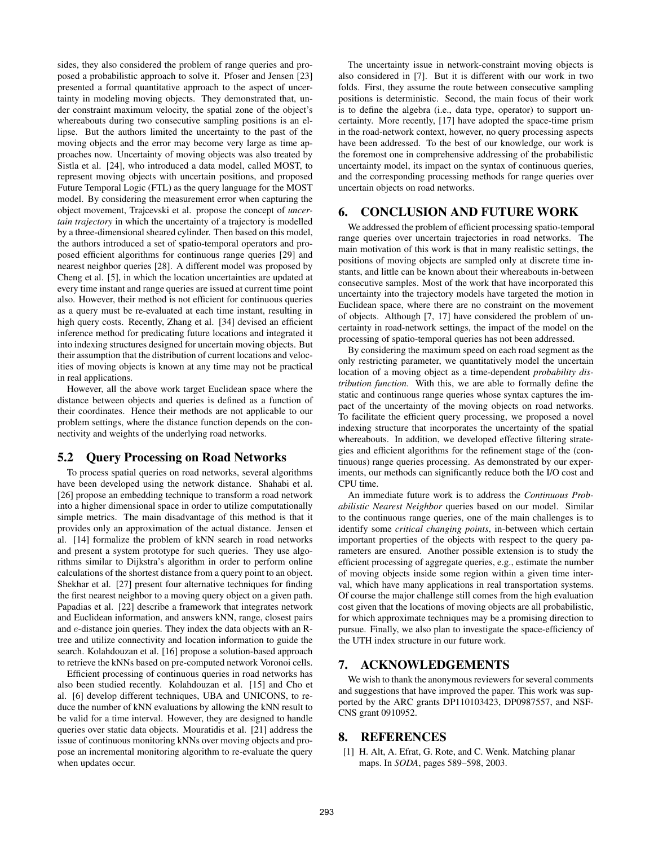sides, they also considered the problem of range queries and proposed a probabilistic approach to solve it. Pfoser and Jensen [23] presented a formal quantitative approach to the aspect of uncertainty in modeling moving objects. They demonstrated that, under constraint maximum velocity, the spatial zone of the object's whereabouts during two consecutive sampling positions is an ellipse. But the authors limited the uncertainty to the past of the moving objects and the error may become very large as time approaches now. Uncertainty of moving objects was also treated by Sistla et al. [24], who introduced a data model, called MOST, to represent moving objects with uncertain positions, and proposed Future Temporal Logic (FTL) as the query language for the MOST model. By considering the measurement error when capturing the object movement, Trajcevski et al. propose the concept of *uncertain trajectory* in which the uncertainty of a trajectory is modelled by a three-dimensional sheared cylinder. Then based on this model, the authors introduced a set of spatio-temporal operators and proposed efficient algorithms for continuous range queries [29] and nearest neighbor queries [28]. A different model was proposed by Cheng et al. [5], in which the location uncertainties are updated at every time instant and range queries are issued at current time point also. However, their method is not efficient for continuous queries as a query must be re-evaluated at each time instant, resulting in high query costs. Recently, Zhang et al. [34] devised an efficient inference method for predicating future locations and integrated it into indexing structures designed for uncertain moving objects. But their assumption that the distribution of current locations and velocities of moving objects is known at any time may not be practical in real applications.

However, all the above work target Euclidean space where the distance between objects and queries is defined as a function of their coordinates. Hence their methods are not applicable to our problem settings, where the distance function depends on the connectivity and weights of the underlying road networks.

# 5.2 Query Processing on Road Networks

To process spatial queries on road networks, several algorithms have been developed using the network distance. Shahabi et al. [26] propose an embedding technique to transform a road network into a higher dimensional space in order to utilize computationally simple metrics. The main disadvantage of this method is that it provides only an approximation of the actual distance. Jensen et al. [14] formalize the problem of kNN search in road networks and present a system prototype for such queries. They use algorithms similar to Dijkstra's algorithm in order to perform online calculations of the shortest distance from a query point to an object. Shekhar et al. [27] present four alternative techniques for finding the first nearest neighbor to a moving query object on a given path. Papadias et al. [22] describe a framework that integrates network and Euclidean information, and answers kNN, range, closest pairs and e-distance join queries. They index the data objects with an Rtree and utilize connectivity and location information to guide the search. Kolahdouzan et al. [16] propose a solution-based approach to retrieve the kNNs based on pre-computed network Voronoi cells.

Efficient processing of continuous queries in road networks has also been studied recently. Kolahdouzan et al. [15] and Cho et al. [6] develop different techniques, UBA and UNICONS, to reduce the number of kNN evaluations by allowing the kNN result to be valid for a time interval. However, they are designed to handle queries over static data objects. Mouratidis et al. [21] address the issue of continuous monitoring kNNs over moving objects and propose an incremental monitoring algorithm to re-evaluate the query when updates occur.

The uncertainty issue in network-constraint moving objects is also considered in [7]. But it is different with our work in two folds. First, they assume the route between consecutive sampling positions is deterministic. Second, the main focus of their work is to define the algebra (i.e., data type, operator) to support uncertainty. More recently, [17] have adopted the space-time prism in the road-network context, however, no query processing aspects have been addressed. To the best of our knowledge, our work is the foremost one in comprehensive addressing of the probabilistic uncertainty model, its impact on the syntax of continuous queries, and the corresponding processing methods for range queries over uncertain objects on road networks.

# 6. CONCLUSION AND FUTURE WORK

We addressed the problem of efficient processing spatio-temporal range queries over uncertain trajectories in road networks. The main motivation of this work is that in many realistic settings, the positions of moving objects are sampled only at discrete time instants, and little can be known about their whereabouts in-between consecutive samples. Most of the work that have incorporated this uncertainty into the trajectory models have targeted the motion in Euclidean space, where there are no constraint on the movement of objects. Although [7, 17] have considered the problem of uncertainty in road-network settings, the impact of the model on the processing of spatio-temporal queries has not been addressed.

By considering the maximum speed on each road segment as the only restricting parameter, we quantitatively model the uncertain location of a moving object as a time-dependent *probability distribution function*. With this, we are able to formally define the static and continuous range queries whose syntax captures the impact of the uncertainty of the moving objects on road networks. To facilitate the efficient query processing, we proposed a novel indexing structure that incorporates the uncertainty of the spatial whereabouts. In addition, we developed effective filtering strategies and efficient algorithms for the refinement stage of the (continuous) range queries processing. As demonstrated by our experiments, our methods can significantly reduce both the I/O cost and CPU time.

An immediate future work is to address the *Continuous Probabilistic Nearest Neighbor* queries based on our model. Similar to the continuous range queries, one of the main challenges is to identify some *critical changing points*, in-between which certain important properties of the objects with respect to the query parameters are ensured. Another possible extension is to study the efficient processing of aggregate queries, e.g., estimate the number of moving objects inside some region within a given time interval, which have many applications in real transportation systems. Of course the major challenge still comes from the high evaluation cost given that the locations of moving objects are all probabilistic, for which approximate techniques may be a promising direction to pursue. Finally, we also plan to investigate the space-efficiency of the UTH index structure in our future work.

### 7. ACKNOWLEDGEMENTS

We wish to thank the anonymous reviewers for several comments and suggestions that have improved the paper. This work was supported by the ARC grants DP110103423, DP0987557, and NSF-CNS grant 0910952.

#### 8. REFERENCES

[1] H. Alt, A. Efrat, G. Rote, and C. Wenk. Matching planar maps. In *SODA*, pages 589–598, 2003.